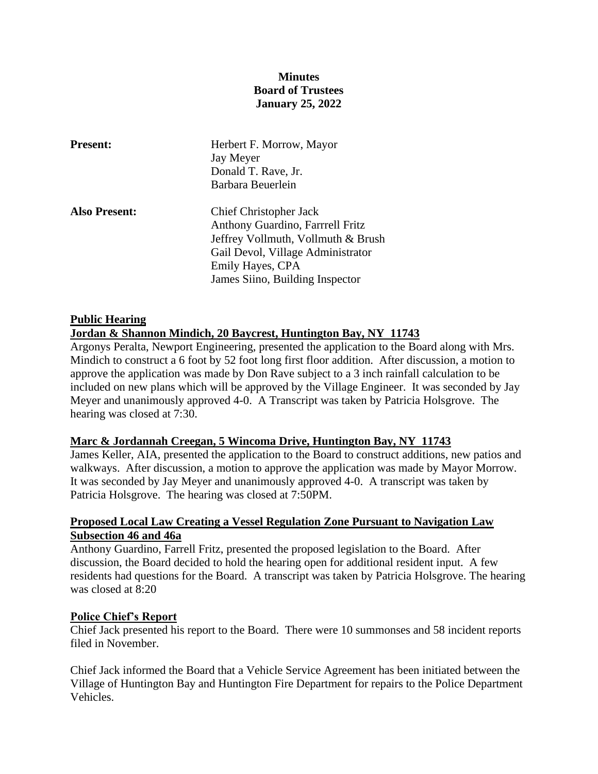# **Minutes Board of Trustees January 25, 2022**

| <b>Present:</b>      | Herbert F. Morrow, Mayor<br>Jay Meyer<br>Donald T. Rave, Jr.<br>Barbara Beuerlein                                                                                                                   |
|----------------------|-----------------------------------------------------------------------------------------------------------------------------------------------------------------------------------------------------|
| <b>Also Present:</b> | <b>Chief Christopher Jack</b><br>Anthony Guardino, Farrrell Fritz<br>Jeffrey Vollmuth, Vollmuth & Brush<br>Gail Devol, Village Administrator<br>Emily Hayes, CPA<br>James Siino, Building Inspector |

### **Public Hearing**

#### **Jordan & Shannon Mindich, 20 Baycrest, Huntington Bay, NY 11743**

Argonys Peralta, Newport Engineering, presented the application to the Board along with Mrs. Mindich to construct a 6 foot by 52 foot long first floor addition. After discussion, a motion to approve the application was made by Don Rave subject to a 3 inch rainfall calculation to be included on new plans which will be approved by the Village Engineer. It was seconded by Jay Meyer and unanimously approved 4-0. A Transcript was taken by Patricia Holsgrove. The hearing was closed at 7:30.

#### **Marc & Jordannah Creegan, 5 Wincoma Drive, Huntington Bay, NY 11743**

James Keller, AIA, presented the application to the Board to construct additions, new patios and walkways. After discussion, a motion to approve the application was made by Mayor Morrow. It was seconded by Jay Meyer and unanimously approved 4-0. A transcript was taken by Patricia Holsgrove. The hearing was closed at 7:50PM.

#### **Proposed Local Law Creating a Vessel Regulation Zone Pursuant to Navigation Law Subsection 46 and 46a**

Anthony Guardino, Farrell Fritz, presented the proposed legislation to the Board. After discussion, the Board decided to hold the hearing open for additional resident input. A few residents had questions for the Board. A transcript was taken by Patricia Holsgrove. The hearing was closed at 8:20

#### **Police Chief's Report**

Chief Jack presented his report to the Board. There were 10 summonses and 58 incident reports filed in November.

Chief Jack informed the Board that a Vehicle Service Agreement has been initiated between the Village of Huntington Bay and Huntington Fire Department for repairs to the Police Department Vehicles.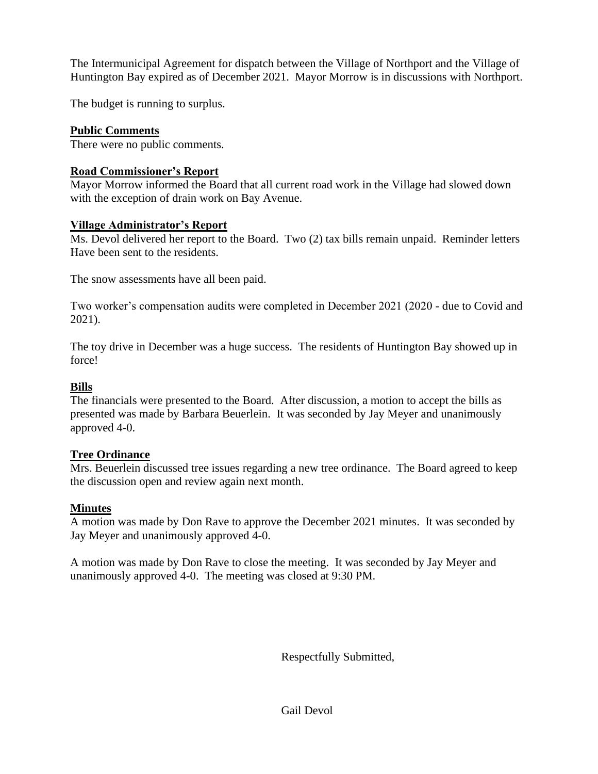The Intermunicipal Agreement for dispatch between the Village of Northport and the Village of Huntington Bay expired as of December 2021. Mayor Morrow is in discussions with Northport.

The budget is running to surplus.

# **Public Comments**

There were no public comments.

### **Road Commissioner's Report**

Mayor Morrow informed the Board that all current road work in the Village had slowed down with the exception of drain work on Bay Avenue.

#### **Village Administrator's Report**

Ms. Devol delivered her report to the Board. Two (2) tax bills remain unpaid. Reminder letters Have been sent to the residents.

The snow assessments have all been paid.

Two worker's compensation audits were completed in December 2021 (2020 - due to Covid and 2021).

The toy drive in December was a huge success. The residents of Huntington Bay showed up in force!

# **Bills**

The financials were presented to the Board. After discussion, a motion to accept the bills as presented was made by Barbara Beuerlein. It was seconded by Jay Meyer and unanimously approved 4-0.

# **Tree Ordinance**

Mrs. Beuerlein discussed tree issues regarding a new tree ordinance. The Board agreed to keep the discussion open and review again next month.

# **Minutes**

A motion was made by Don Rave to approve the December 2021 minutes. It was seconded by Jay Meyer and unanimously approved 4-0.

A motion was made by Don Rave to close the meeting. It was seconded by Jay Meyer and unanimously approved 4-0. The meeting was closed at 9:30 PM.

Respectfully Submitted,